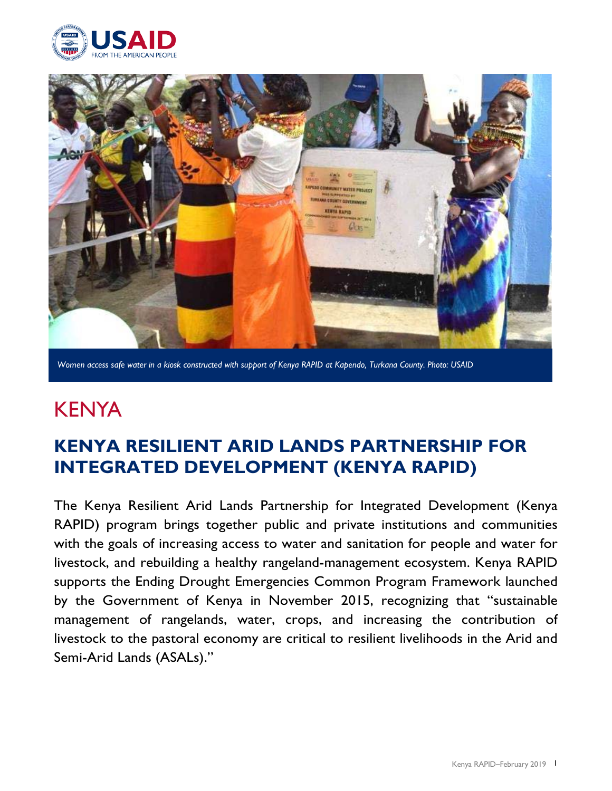



*Women access safe water in a kiosk constructed with support of Kenya RAPID at Kapendo, Turkana County. Photo: USAID*

# **KENYA**

## **KENYA RESILIENT ARID LANDS PARTNERSHIP FOR INTEGRATED DEVELOPMENT (KENYA RAPID)**

The Kenya Resilient Arid Lands Partnership for Integrated Development (Kenya RAPID) program brings together public and private institutions and communities with the goals of increasing access to water and sanitation for people and water for livestock, and rebuilding a healthy rangeland-management ecosystem. Kenya RAPID supports the Ending Drought Emergencies Common Program Framework launched by the Government of Kenya in November 2015, recognizing that "sustainable management of rangelands, water, crops, and increasing the contribution of livestock to the pastoral economy are critical to resilient livelihoods in the Arid and Semi-Arid Lands (ASALs)."